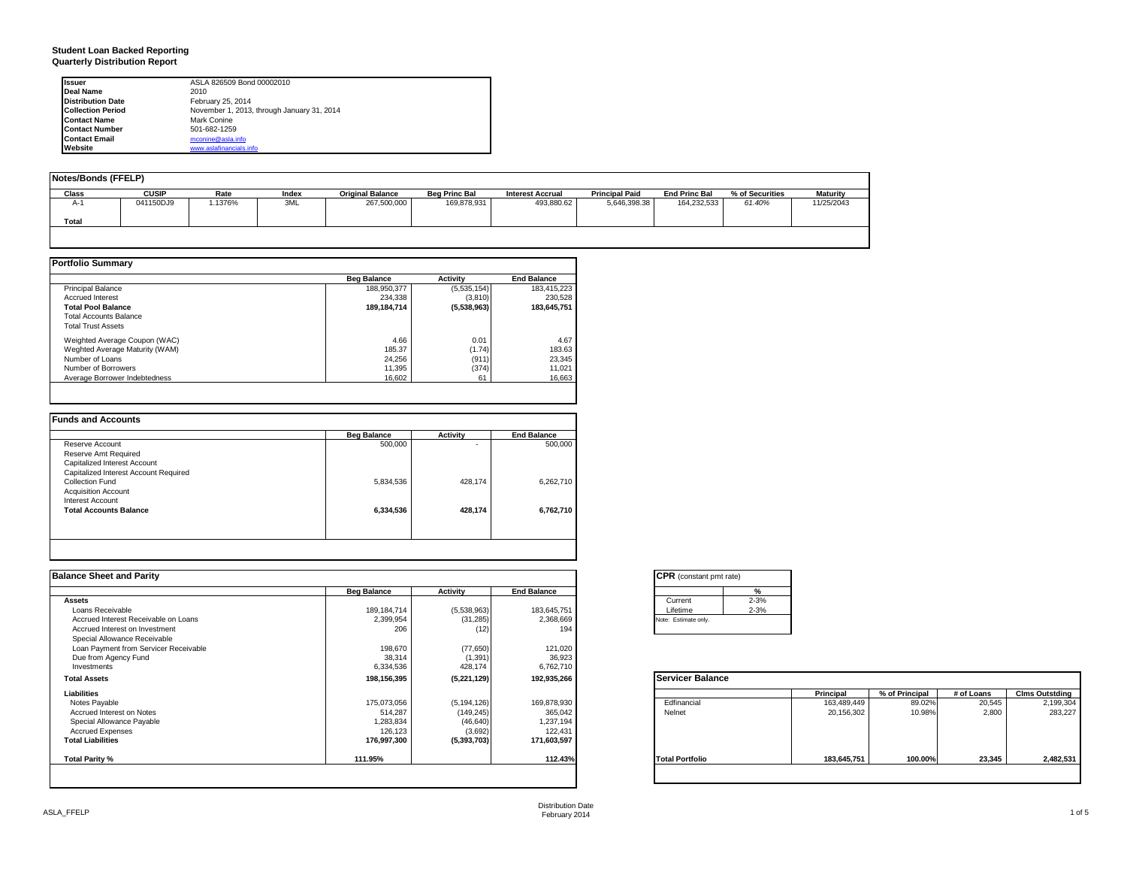### **Student Loan Backed Reporting Quarterly Distribution Report**

| <b>Issuer</b>            | ASLA 826509 Bond 00002010                  |
|--------------------------|--------------------------------------------|
| Deal Name                | 2010                                       |
| <b>Distribution Date</b> | February 25, 2014                          |
| <b>Collection Period</b> | November 1, 2013, through January 31, 2014 |
| <b>Contact Name</b>      | Mark Conine                                |
| <b>Contact Number</b>    | 501-682-1259                               |
| <b>Contact Email</b>     | mconine@asla.info                          |
| Website                  | www.aslafinancials.info                    |

| Notes/Bonds (FFELP) |              |        |       |                         |                      |                         |                       |                      |                 |                 |
|---------------------|--------------|--------|-------|-------------------------|----------------------|-------------------------|-----------------------|----------------------|-----------------|-----------------|
| Class               | <b>CUSIP</b> | Rate   | Index | <b>Original Balance</b> | <b>Beg Princ Bal</b> | <b>Interest Accrual</b> | <b>Principal Paid</b> | <b>End Princ Bal</b> | % of Securities | <b>Maturity</b> |
| A-1                 | 041150DJ9    | .1376% | 3ML   | 267,500,000             | 169,878,931          | 493.880.62              | 5,646,398.38          | 164,232,533          | 61.40%          | 11/25/2043      |
| Total               |              |        |       |                         |                      |                         |                       |                      |                 |                 |
|                     |              |        |       |                         |                      |                         |                       |                      |                 |                 |

|                                | <b>Beg Balance</b> | <b>Activity</b> | <b>End Balance</b> |
|--------------------------------|--------------------|-----------------|--------------------|
| <b>Principal Balance</b>       | 188,950,377        | (5,535,154)     | 183,415,223        |
| <b>Accrued Interest</b>        | 234.338            | (3,810)         | 230,528            |
| <b>Total Pool Balance</b>      | 189.184.714        | (5,538,963)     | 183.645.751        |
| <b>Total Accounts Balance</b>  |                    |                 |                    |
| <b>Total Trust Assets</b>      |                    |                 |                    |
| Weighted Average Coupon (WAC)  | 4.66               | 0.01            | 4.67               |
| Weghted Average Maturity (WAM) | 185.37             | (1.74)          | 183.63             |
| Number of Loans                | 24.256             | (911)           | 23,345             |
| Number of Borrowers            | 11.395             | (374)           | 11,021             |
| Average Borrower Indebtedness  | 16.602             | 61              | 16.663             |

| Reserve Account                       |           |         | <b>End Balance</b> |
|---------------------------------------|-----------|---------|--------------------|
|                                       | 500,000   | ۰       | 500,000            |
| Reserve Amt Required                  |           |         |                    |
| Capitalized Interest Account          |           |         |                    |
| Capitalized Interest Account Required |           |         |                    |
| Collection Fund                       | 5,834,536 | 428.174 | 6,262,710          |
| <b>Acquisition Account</b>            |           |         |                    |
| Interest Account                      |           |         |                    |
| <b>Total Accounts Balance</b>         | 6,334,536 | 428,174 | 6,762,710          |
|                                       |           |         |                    |
|                                       |           |         |                    |

| <b>Balance Sheet and Parity</b>       |                    |               |                    | <b>CPR</b> (constant pmt rate) |             |                |            |                       |
|---------------------------------------|--------------------|---------------|--------------------|--------------------------------|-------------|----------------|------------|-----------------------|
|                                       | <b>Beg Balance</b> | Activity      | <b>End Balance</b> | %                              |             |                |            |                       |
| <b>Assets</b>                         |                    |               |                    | $2 - 3%$<br>Current            |             |                |            |                       |
| Loans Receivable                      | 189, 184, 714      | (5,538,963)   | 183,645,751        | $2 - 3%$<br>Lifetime           |             |                |            |                       |
| Accrued Interest Receivable on Loans  | 2,399,954          | (31, 285)     | 2,368,669          | Note: Estimate only.           |             |                |            |                       |
| Accrued Interest on Investment        | 206                | (12)          | 194                |                                |             |                |            |                       |
| Special Allowance Receivable          |                    |               |                    |                                |             |                |            |                       |
| Loan Payment from Servicer Receivable | 198,670            | (77,650)      | 121,020            |                                |             |                |            |                       |
| Due from Agency Fund                  | 38,314             | (1, 391)      | 36,923             |                                |             |                |            |                       |
| Investments                           | 6,334,536          | 428,174       | 6,762,710          |                                |             |                |            |                       |
| <b>Total Assets</b>                   | 198,156,395        | (5,221,129)   | 192,935,266        | Servicer Balance               |             |                |            |                       |
| Liabilities                           |                    |               |                    |                                | Principal   | % of Principal | # of Loans | <b>Clms Outstding</b> |
| Notes Payable                         | 175,073,056        | (5, 194, 126) | 169,878,930        | Edfinancial                    | 163,489,449 | 89.02%         | 20,545     | 2,199,304             |
| Accrued Interest on Notes             | 514,287            | (149, 245)    | 365,042            | Nelnet                         | 20,156,302  | 10.98%         | 2.800      | 283,227               |
| Special Allowance Payable             | 1,283,834          | (46, 640)     | 1,237,194          |                                |             |                |            |                       |
| <b>Accrued Expenses</b>               | 126,123            | (3,692)       | 122,431            |                                |             |                |            |                       |
| <b>Total Liabilities</b>              | 176,997,300        | (5, 393, 703) | 171,603,597        |                                |             |                |            |                       |
| Total Parity %                        | 111.95%            |               | 112.43%            | <b>Total Portfolio</b>         | 183,645,751 | 100.00%        | 23,345     | 2,482,531             |
|                                       |                    |               |                    |                                |             |                |            |                       |

| <b>CPR</b> (constant pmt rate) |          |  |  |  |  |
|--------------------------------|----------|--|--|--|--|
|                                | %        |  |  |  |  |
| Current                        | $2 - 3%$ |  |  |  |  |
| Lifetime                       | $2 - 3%$ |  |  |  |  |
| Note: Estimate only.           |          |  |  |  |  |

|                        | Principal   | % of Principal | # of Loans | <b>Clms Outstding</b> |
|------------------------|-------------|----------------|------------|-----------------------|
| Edfinancial            | 163,489,449 | 89.02%         | 20,545     | 2,199,304             |
| Nelnet                 | 20,156,302  | 10.98%         | 2,800      | 283,227               |
| <b>Total Portfolio</b> | 183,645,751 | 100.00%        | 23,345     | 2,482,531             |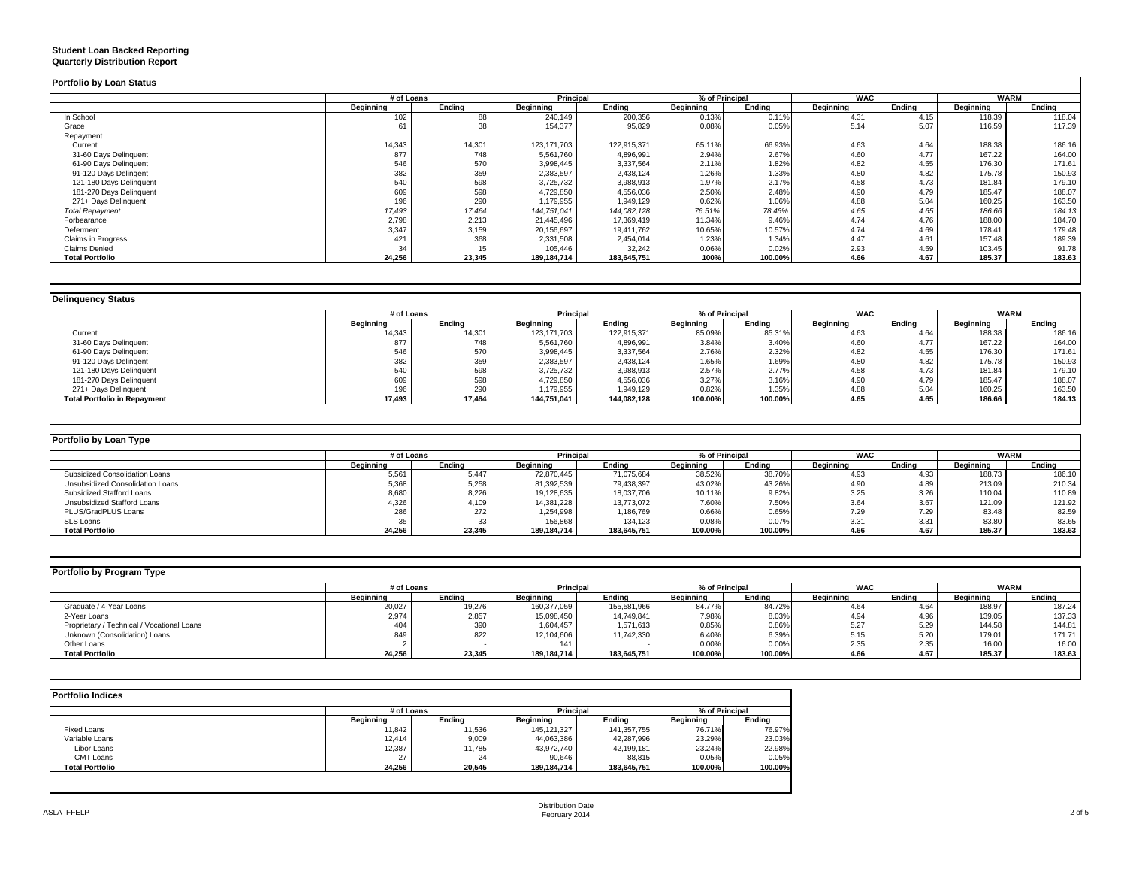#### **Student Loan Backed Reporting Quarterly Distribution Report**

|                           | # of Loans |        | Principal   |             | % of Principal |         | <b>WAC</b> |        | <b>WARM</b> |        |
|---------------------------|------------|--------|-------------|-------------|----------------|---------|------------|--------|-------------|--------|
|                           | Beainnina  | Endina | Beainnina   | Endina      | Beginning      | Endina  | Beginning  | Endina | Beginning   | Endina |
| In School                 | 102        | 88     | 240,149     | 200,356     | 0.13%          | 0.11%   | 4.31       | 4.15   | 118.39      | 118.04 |
| Grace                     | 61         | 38     | 154,377     | 95,829      | 0.08%          | 0.05%   | 5.14       | 5.07   | 116.59      | 117.39 |
| Repayment                 |            |        |             |             |                |         |            |        |             |        |
| Current                   | 14,343     | 14,301 | 123.171.703 | 122,915,371 | 65.11%         | 66.93%  | 4.63       | 4.64   | 188.38      | 186.16 |
| 31-60 Days Delinquent     | 877        | 748    | 5,561,760   | 4,896,991   | 2.94%          | 2.67%   | 4.60       | 4.77   | 167.22      | 164.00 |
| 61-90 Days Delinquent     | 546        | 570    | 3,998,445   | 3,337,564   | 2.11%          | 1.82%   | 4.82       | 4.55   | 176.30      | 171.61 |
| 91-120 Days Delingent     | 382        | 359    | 2,383,597   | 2,438,124   | 1.26%          | 1.33%   | 4.80       | 4.82   | 175.78      | 150.93 |
| 121-180 Days Delinquent   | 540        | 598    | 3,725,732   | 3,988,913   | 1.97%          | 2.17%   | 4.58       | 4.73   | 181.84      | 179.10 |
| 181-270 Days Delinquent   | 609        | 598    | 4,729,850   | 4,556,036   | 2.50%          | 2.48%   | 4.90       | 4.79   | 185.47      | 188.07 |
| 271+ Days Delinquent      | 196        | 290    | 1,179,955   | 1,949,129   | 0.62%          | 1.06%   | 4.88       | 5.04   | 160.25      | 163.50 |
| <b>Total Repayment</b>    | 17,493     | 17,464 | 144,751,041 | 144,082,128 | 76.51%         | 78.46%  | 4.65       | 4.65   | 186.66      | 184.13 |
| Forbearance               | 2,798      | 2,213  | 21,445,496  | 17,369,419  | 11.34%         | 9.46%   | 4.74       | 4.76   | 188.00      | 184.70 |
| Deferment                 | 3,347      | 3,159  | 20,156,697  | 19,411,762  | 10.65%         | 10.57%  | 4.74       | 4.69   | 178.41      | 179.48 |
| <b>Claims in Progress</b> | 421        | 368    | 2,331,508   | 2,454,014   | 1.23%          | 1.34%   | 4.47       | 4.61   | 157.48      | 189.39 |
| <b>Claims Denied</b>      | 34         | 15     | 105,446     | 32,242      | 0.06%          | 0.02%   | 2.93       | 4.59   | 103.45      | 91.78  |
| <b>Total Portfolio</b>    | 24,256     | 23,345 | 189,184,714 | 183,645,751 | 100%           | 100.00% | 4.66       | 4.67   | 185.37      | 183.63 |

|                                     |           | # of Loans |                  | Principal   | % of Principal |         | <b>WAC</b>       |        | <b>WARM</b>      |        |
|-------------------------------------|-----------|------------|------------------|-------------|----------------|---------|------------------|--------|------------------|--------|
|                                     | Beainnina | Endina     | <b>Beainning</b> | Endina      | Beginning      | Endina  | <b>Beginning</b> | Endina | <b>Beginning</b> | Endina |
| Current                             | 14,343    | 14,301     | 123, 171, 703    | 122,915,371 | 85.09%         | 85.31%  | 4.63             | 4.64   | 188.38           | 186.16 |
| 31-60 Days Delinquent               | 877       | 748        | 5,561,760        | 4,896,991   | 3.84%          | 3.40%   | 4.60             | 4.77   | 167.22           | 164.00 |
| 61-90 Days Delinquent               | 546       | 570        | 3,998,445        | 3,337,564   | 2.76%          | 2.32%   | 4.82             | 4.55   | 176.30           | 171.61 |
| 91-120 Days Delingent               | 382       | 359        | 2,383,597        | 2,438,124   | 1.65%          | 1.69%   | 4.80             | 4.82   | 175.78           | 150.93 |
| 121-180 Days Delinquent             | 540       | 598        | 3,725,732        | 3,988,913   | 2.57%          | 2.77%   | 4.58             | 4.73   | 181.84           | 179.10 |
| 181-270 Days Delinquent             | 609       | 598        | 4,729,850        | 4,556,036   | 3.27%          | 3.16%   | 4.90             | 4.79   | 185.47           | 188.07 |
| 271+ Days Delinquent                | 196       | 290        | 1,179,955        | 1,949,129   | 0.82%          | 1.35%   | 4.88             | 5.04   | 160.25           | 163.50 |
| <b>Total Portfolio in Repayment</b> | 17,493    | 17.464     | 144.751.041      | 144,082,128 | 100.00%        | 100.00% | 4.65             | 4.65   | 186.66           | 184.13 |

| Portfolio by Loan Type           |           |            |             |                  |           |                |                  |        |                  |        |
|----------------------------------|-----------|------------|-------------|------------------|-----------|----------------|------------------|--------|------------------|--------|
|                                  |           | # of Loans |             | <b>Principal</b> |           | % of Principal | <b>WAC</b>       |        | <b>WARM</b>      |        |
|                                  | Beainnina | Endina     | Beainnina   | Endina           | Beainnina | Endina         | <b>Beainning</b> | Endina | <b>Beainning</b> | Endina |
| Subsidized Consolidation Loans   | 5,561     | 5.447      | 72.870.445  | 71,075,684       | 38.52%    | 38.70%         | 4.93             | 4.93   | 188.73           | 186.10 |
| Unsubsidized Consolidation Loans | 5,368     | 5.258      | 81,392,539  | 79,438,397       | 43.02%    | 43.26%         | 4.90             | 4.89   | 213.09           | 210.34 |
| Subsidized Stafford Loans        | 8,680     | 8,226      | 19,128,635  | 18,037,706       | 10.11%    | 9.82%          | 3.25             | 3.26   | 110.04           | 110.89 |
| Unsubsidized Stafford Loans      | 4,326     | 4,109      | 14,381,228  | 13,773,072       | 7.60%     | 7.50%          | 3.64             | 3.67   | 121.09           | 121.92 |
| PLUS/GradPLUS Loans              | 286       | 272        | 1,254,998   | ,186,769         | 0.66%     | 0.65%          | 7.29             | 7.29   | 83.48            | 82.59  |
| SLS Loans                        | 35        | 33         | 156,868     | 134.123          | 0.08%     | 0.07%          | 3.31             | 3.31   | 83.80            | 83.65  |
| <b>Total Portfolio</b>           | 24,256    | 23,345     | 189,184,714 | 183,645,751      | 100.00%   | 100.00%        | 4.66             | 4.67   | 185.37           | 183.63 |

| Portfolio by Program Type                  |           |            |             |                  |                |         |                  |        |           |             |
|--------------------------------------------|-----------|------------|-------------|------------------|----------------|---------|------------------|--------|-----------|-------------|
|                                            |           | # of Loans |             | <b>Principal</b> | % of Principal |         | <b>WAC</b>       |        |           | <b>WARM</b> |
|                                            | Beainnina | Endina     | Beginning   | Endina           | Beginning      | Endina  | <b>Beainning</b> | Endina | Beginning | Endina      |
| Graduate / 4-Year Loans                    | 20,027    | 19,276     | 160,377,059 | 155,581,966      | 84.77%         | 84.72%  | 4.64             | 4.64   | 188.97    | 187.24      |
| 2-Year Loans                               | 2,974     | 2,857      | 15,098,450  | 14,749,841       | 7.98%          | 8.03%   | 4.94             | 4.96   | 139.05    | 137.33      |
| Proprietary / Technical / Vocational Loans |           | 390        | 1,604,457   | 1,571,613        | 0.85%          | 0.86%   | 5.27             | 5.29   | 144.58    | 144.81      |
| Unknown (Consolidation) Loans              | 849       | 822        | 12,104,606  | 11.742.330       | 6.40%          | 6.39%   | 5.15             | 5.20   | 179.01    | 171.71      |
| Other Loans                                |           |            | 141         |                  | 0.00%          | 0.00%   | 2.35             | 2.35   | 16.00     | 16.00       |
| <b>Total Portfolio</b>                     | 24,256    | 23,345     | 189,184,714 | 183,645,751      | 100.00%        | 100.00% | 4.66             | 4.67   | 185.37    | 183.63      |
|                                            |           |            |             |                  |                |         |                  |        |           |             |

|                        | # of Loans  |        | Principal   |             | % of Principal |         |
|------------------------|-------------|--------|-------------|-------------|----------------|---------|
|                        | Beginning   | Endina | Beainnina   | Endina      | Beginning      | Endina  |
| <b>Fixed Loans</b>     | 11.842      | 11.536 | 145.121.327 | 141,357,755 | 76.71%         | 76.97%  |
| Variable Loans         | 12.414      | 9,009  | 44,063,386  | 42.287.996  | 23.29%         | 23.03%  |
| Libor Loans            | 12,387      | 11,785 | 43,972,740  | 42,199,181  | 23.24%         | 22.98%  |
| CMT Loans              | $\sim$<br>۷ | 24     | 90.646      | 88.815      | 0.05%          | 0.05%   |
| <b>Total Portfolio</b> | 24.256      | 20.545 | 189.184.714 | 183,645,751 | 100.00%        | 100.00% |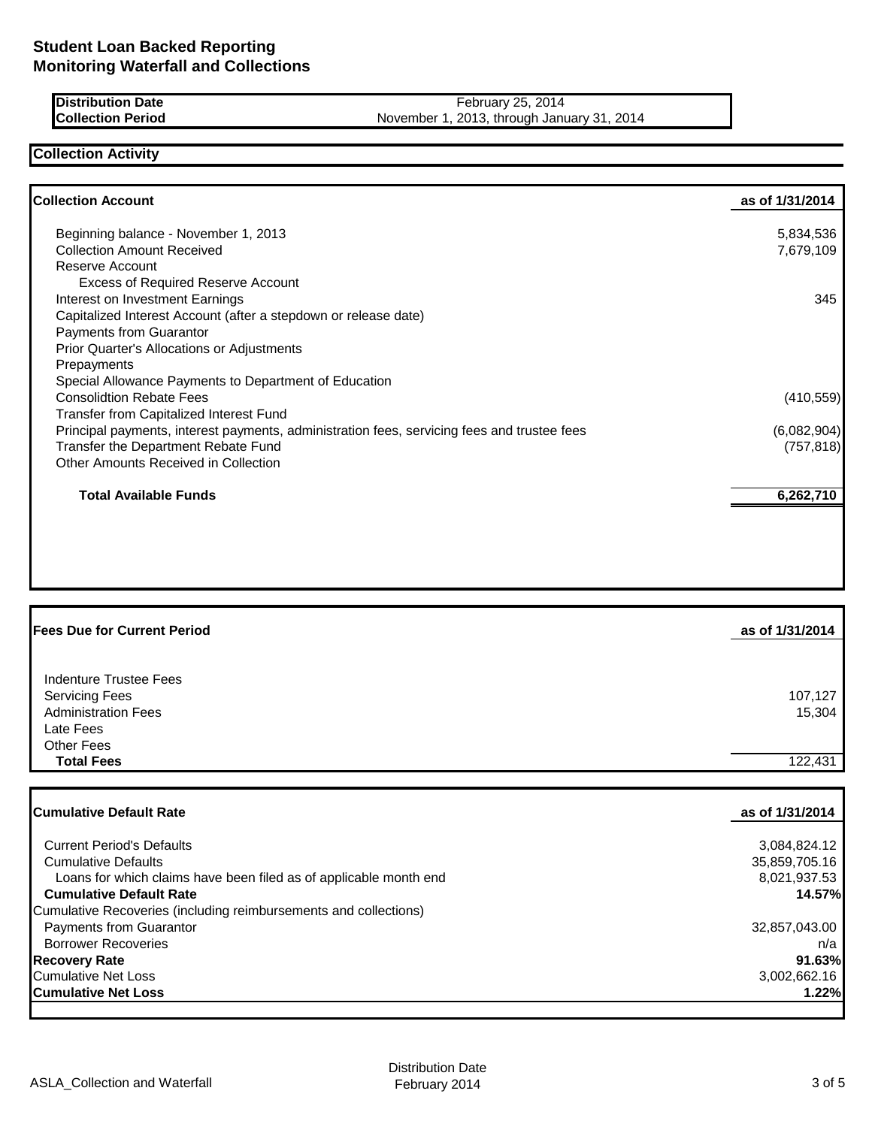| <b>IDistribution Date</b> | February 25, 2014                              |
|---------------------------|------------------------------------------------|
| <b>Collection Period</b>  | , 2013, through January 31, 2014<br>November 1 |

# **Collection Activity**

| <b>Collection Account</b>                                                                   | as of 1/31/2014 |
|---------------------------------------------------------------------------------------------|-----------------|
| Beginning balance - November 1, 2013                                                        | 5,834,536       |
| <b>Collection Amount Received</b>                                                           | 7,679,109       |
| Reserve Account                                                                             |                 |
| <b>Excess of Required Reserve Account</b>                                                   |                 |
| Interest on Investment Earnings                                                             | 345             |
| Capitalized Interest Account (after a stepdown or release date)                             |                 |
| Payments from Guarantor                                                                     |                 |
| <b>Prior Quarter's Allocations or Adjustments</b>                                           |                 |
| Prepayments                                                                                 |                 |
| Special Allowance Payments to Department of Education                                       |                 |
| <b>Consolidtion Rebate Fees</b>                                                             | (410, 559)      |
| Transfer from Capitalized Interest Fund                                                     |                 |
| Principal payments, interest payments, administration fees, servicing fees and trustee fees | (6,082,904)     |
| Transfer the Department Rebate Fund                                                         | (757, 818)      |
| Other Amounts Received in Collection                                                        |                 |
| <b>Total Available Funds</b>                                                                | 6,262,710       |
|                                                                                             |                 |
|                                                                                             |                 |

| <b>Indenture Trustee Fees</b><br><b>Servicing Fees</b><br><b>Administration Fees</b><br>Late Fees<br>Other Fees | 107,127<br>15,304 |
|-----------------------------------------------------------------------------------------------------------------|-------------------|
| <b>Total Fees</b>                                                                                               | 122,431           |

| <b>Cumulative Default Rate</b>                                    | as of 1/31/2014 |
|-------------------------------------------------------------------|-----------------|
|                                                                   |                 |
| <b>Current Period's Defaults</b>                                  | 3,084,824.12    |
| <b>Cumulative Defaults</b>                                        | 35,859,705.16   |
| Loans for which claims have been filed as of applicable month end | 8,021,937.53    |
| <b>Cumulative Default Rate</b>                                    | 14.57%          |
| Cumulative Recoveries (including reimbursements and collections)  |                 |
| <b>Payments from Guarantor</b>                                    | 32,857,043.00   |
| <b>Borrower Recoveries</b>                                        | n/a             |
| <b>Recovery Rate</b>                                              | 91.63%          |
| Cumulative Net Loss                                               | 3,002,662.16    |
| <b>Cumulative Net Loss</b>                                        | 1.22%           |
|                                                                   |                 |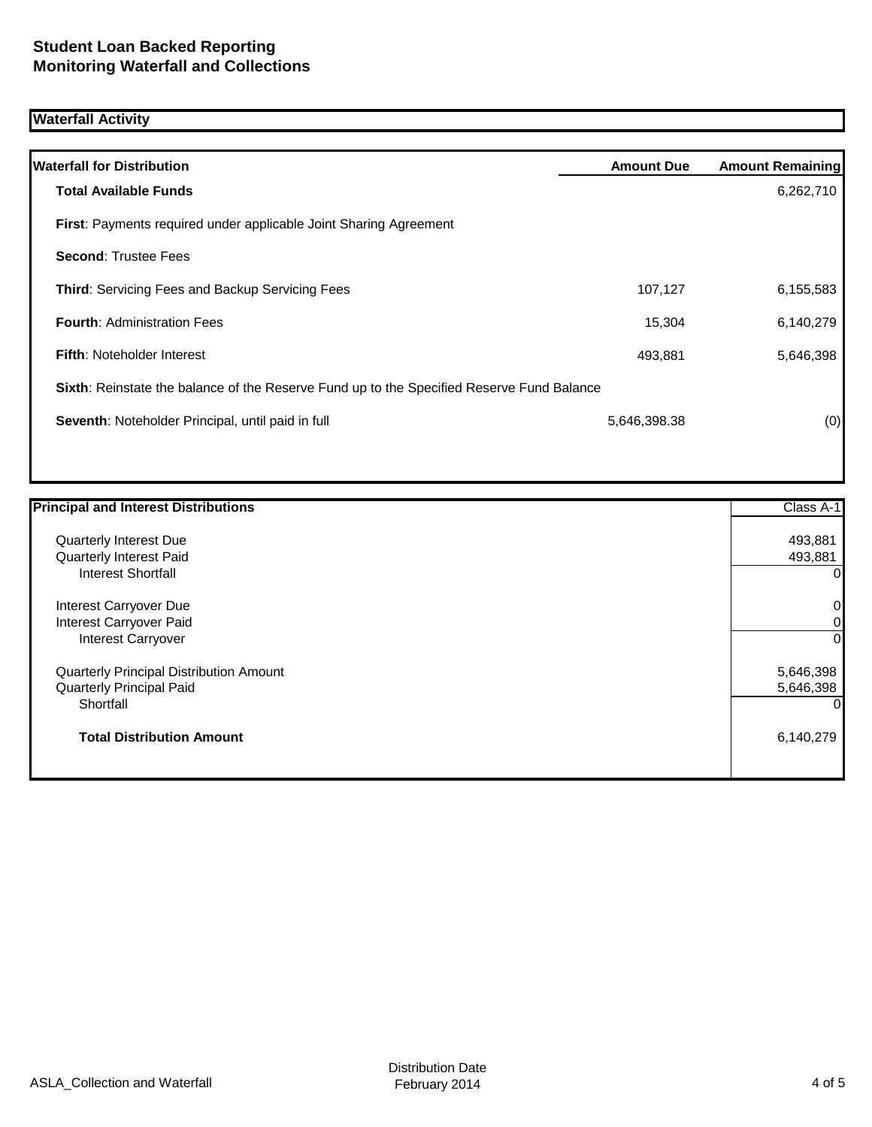# **Waterfall Activity**

| <b>Waterfall for Distribution</b>                                                         | <b>Amount Due</b> | <b>Amount Remaining</b> |
|-------------------------------------------------------------------------------------------|-------------------|-------------------------|
| <b>Total Available Funds</b>                                                              |                   | 6,262,710               |
| <b>First:</b> Payments required under applicable Joint Sharing Agreement                  |                   |                         |
| <b>Second: Trustee Fees</b>                                                               |                   |                         |
| <b>Third:</b> Servicing Fees and Backup Servicing Fees                                    | 107,127           | 6,155,583               |
| <b>Fourth: Administration Fees</b>                                                        | 15,304            | 6,140,279               |
| <b>Fifth: Noteholder Interest</b>                                                         | 493,881           | 5,646,398               |
| Sixth: Reinstate the balance of the Reserve Fund up to the Specified Reserve Fund Balance |                   |                         |
| Seventh: Noteholder Principal, until paid in full                                         | 5,646,398.38      | (0)                     |
|                                                                                           |                   |                         |

| <b>Principal and Interest Distributions</b> | Class A-1 |
|---------------------------------------------|-----------|
| Quarterly Interest Due                      | 493,881   |
| <b>Quarterly Interest Paid</b>              | 493,881   |
| <b>Interest Shortfall</b>                   | 0         |
| Interest Carryover Due                      | 0         |
| Interest Carryover Paid                     | 0         |
| Interest Carryover                          | 0         |
| Quarterly Principal Distribution Amount     | 5,646,398 |
| <b>Quarterly Principal Paid</b>             | 5,646,398 |
| Shortfall                                   |           |
| <b>Total Distribution Amount</b>            | 6,140,279 |
|                                             |           |